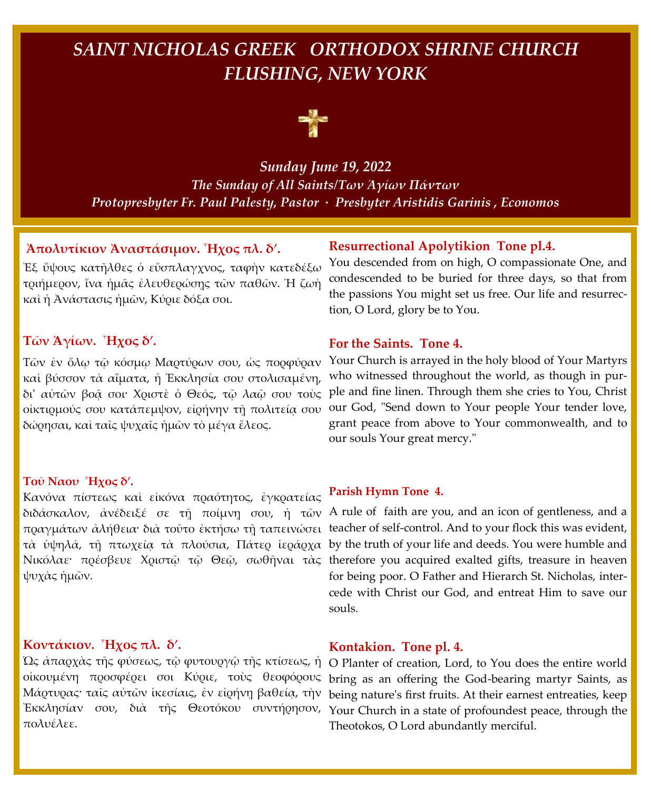## *SAINT NICHOLAS GREEK ORTHODOX SHRINE CHURCH FLUSHING, NEW YORK*



*Sunday June 19, 2022 The Sunday of All Saints/Των Άγίων Πάντων Protopresbyter Fr. Paul Palesty, Pastor · Presbyter Aristidis Garinis , Economos*

### **Ἀπολυτίκιον Ἀναστάσιμον. Ἦχος πλ. δʹ.**

Ἐξ ὕψους κατῆλθες ὁ εὔσπλαγχνος, ταφὴν κατεδέξω τριήμερον, ἵνα ἡμᾶς ἐλευθερώσῃς τῶν παθῶν. Ἡ ζωὴ καὶ ἡ Ἀνάστασις ἡμῶν, Κύριε δόξα σοι.

### **Τῶν Ἁγίων. Ἦχος δʹ.**

Τῶν ἐν ὅλῳ τῷ κόσμῳ Μαρτύρων σου, ὡς πορφύραν καὶ βύσσον τὰ αἵματα, ἡ Ἐκκλησία σου στολισαμένη, δι' αὐτῶν βοᾶ σοι· Χριστὲ ὁ Θεός, τῷ λαῷ σου τοὺς οἰκτιρμούς σου κατάπεμψον, εἰρήνην τῇ πολιτείᾳ σου δώρησαι, καὶ ταῖς ψυχαῖς ἡμῶν τὸ μέγα ἔλεος.

### **Tοῦ Ναου Ἦχος δʹ.**

Κανόνα πίστεως καὶ εἰκόνα πραότητος, ἐγκρατείας ψυχὰς ἡµῶν.

### **Κοντάκιον. Ἦχος πλ. δʹ.**

Ὡς ἀπαρχὰς τῆς φύσεως, τῷ φυτουργῷ τῆς κτίσεως, ἡ O Planter of creation, Lord, to You does the entire world πολυέλεε.

### **Resurrectional Apolytikion Tone pl.4.**

You descended from on high, O compassionate One, and condescended to be buried for three days, so that from the passions You might set us free. Our life and resurrection, O Lord, glory be to You.

### **For the Saints. Tone 4.**

Your Church is arrayed in the holy blood of Your Martyrs who witnessed throughout the world, as though in purple and fine linen. Through them she cries to You, Christ our God, "Send down to Your people Your tender love, grant peace from above to Your commonwealth, and to our souls Your great mercy."

#### **Parish Hymn Tone 4.**

διδάσκαλον, ἀνέδειξέ σε τῇ ποίµνῃ σου, ἡ τῶν A rule of faith are you, and an icon of gentleness, and a πραγµάτων ἀλήθεια· διὰ τοῦτο ἐκτήσω τῇ ταπεινώσει teacher of self-control. And to your flock this was evident, τὰ ὑψηλά, τῆ πτωχεία τὰ πλούσια, Πάτερ ἱεράρχα by the truth of your life and deeds. You were humble and Νικόλαε· πρέσβευε Χριστῷ τῷ Θεῷ, σωθῆναι τὰς therefore you acquired exalted gifts, treasure in heaven for being poor. O Father and Hierarch St. Nicholas, intercede with Christ our God, and entreat Him to save our souls.

### **Kontakion. Tone pl. 4.**

οἰκουμένη προσφέρει σοι Κύριε, τοὺς θεοφόρους bring as an offering the God-bearing martyr Saints, as Μάρτυρας· ταῖς αὐτῶν ἱκεσίαις, ἐν εἰρήνῃ βαθείᾳ, τὴν being nature's first fruits. At their earnest entreaties, keep Ἐκκλησίαν σου, διὰ τῆς Θεοτόκου συντήρησον, Your Church in a state of profoundest peace, through the Theotokos, O Lord abundantly merciful.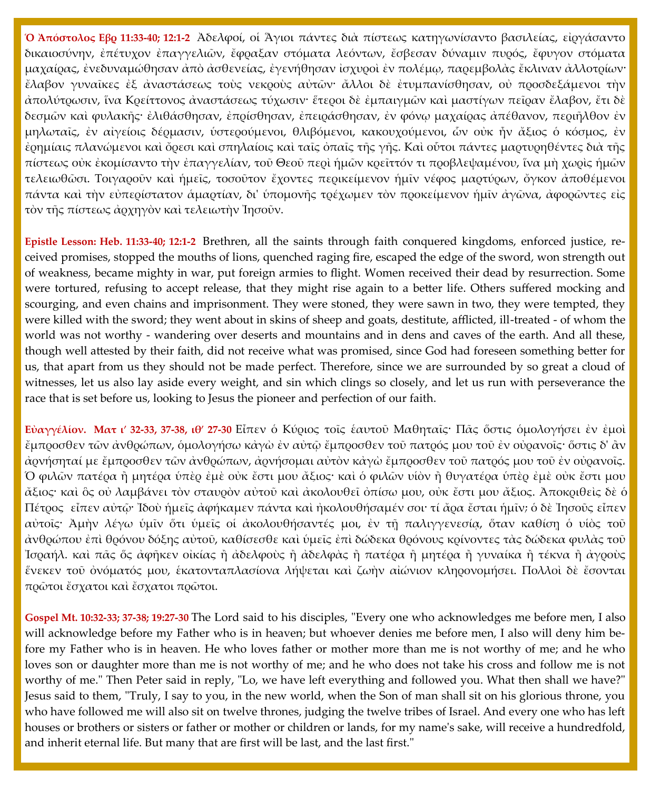**Ὁ Ἀπόστολος Εβρ 11:33-40; 12:1-2** Ἀδελφοί, οἱ Ἅγιοι πάντες διὰ πίστεως κατηγωνίσαντο βασιλείας, εἰργάσαντο δικαιοσύνην, ἐπέτυχον ἐπαγγελιῶν, ἔφραξαν στόματα λεόντων, ἔσβεσαν δύναμιν πυρός, ἔφυγον στόματα μαχαίρας, ἐνεδυναμώθησαν ἀπὸ ἀσθενείας, ἐγενήθησαν ἰσχυροὶ ἐν πολέμῳ, παρεμβολὰς ἔκλιναν ἀλλοτρίων· ἔλαβον γυναῖκες ἐξ ἀναστάσεως τοὺς νεκροὺς αὐτῶν· ἄλλοι δὲ ἐτυμπανίσθησαν, οὐ προσδεξάμενοι τὴν ἀπολύτρωσιν, ἵνα Κρείττονος ἀναστάσεως τύχωσιν· ἕτεροι δὲ ἐμπαιγμῶν καὶ μαστίγων πεῖραν ἔλαβον, ἔτι δὲ δεσμῶν καὶ φυλακῆς· ἐλιθάσθησαν, ἐπρίσθησαν, ἐπειράσθησαν, ἐν φόνῳ μαχαίρας ἀπέθανον, περιῆλθον ἐν μηλωταῖς, ἐν αἰγείοις δέρμασιν, ὑστερούμενοι, θλιβόμενοι, κακουχούμενοι, ὧν οὐκ ἦν ἄξιος ὁ κόσμος, ἐν ἐρημίαις πλανώμενοι καὶ ὄρεσι καὶ σπηλαίοις καὶ ταῖς ὀπαῖς τῆς γῆς. Καὶ οὗτοι πάντες μαρτυρηθέντες διὰ τῆς πίστεως οὐκ ἐκομίσαντο τὴν ἐπαγγελίαν, τοῦ Θεοῦ περὶ ἡμῶν κρεῖττόν τι προβλεψαμένου, ἵνα μὴ χωρὶς ἡμῶν τελειωθῶσι. Τοιγαροῦν καὶ ἡμεῖς, τοσοῦτον ἔχοντες περικείμενον ἡμῖν νέφος μαρτύρων, ὄγκον ἀποθέμενοι πάντα καὶ τὴν εὐπερίστατον ἁμαρτίαν, δι' ὑπομονῆς τρέχωμεν τὸν προκείμενον ἡμῖν ἀγῶνα, ἀφορῶντες εἰς τὸν τῆς πίστεως ἀρχηγὸν καὶ τελειωτὴν Ἰησοῦν.

**Εpistle Lesson: Heb. 11:33-40; 12:1-2** Brethren, all the saints through faith conquered kingdoms, enforced justice, received promises, stopped the mouths of lions, quenched raging fire, escaped the edge of the sword, won strength out of weakness, became mighty in war, put foreign armies to flight. Women received their dead by resurrection. Some were tortured, refusing to accept release, that they might rise again to a better life. Others suffered mocking and scourging, and even chains and imprisonment. They were stoned, they were sawn in two, they were tempted, they were killed with the sword; they went about in skins of sheep and goats, destitute, afflicted, ill-treated - of whom the world was not worthy - wandering over deserts and mountains and in dens and caves of the earth. And all these, though well attested by their faith, did not receive what was promised, since God had foreseen something better for us, that apart from us they should not be made perfect. Therefore, since we are surrounded by so great a cloud of witnesses, let us also lay aside every weight, and sin which clings so closely, and let us run with perseverance the race that is set before us, looking to Jesus the pioneer and perfection of our faith.

**Εὐαγγέλίον. Ματ ιʹ 32-33, 37-38, ιθʹ 27-30** Εἶπεν ὁ Κύριος τοῖς ἑαυτοῦ Μαθηταῖς· Πᾶς ὅστις ὁμολογήσει ἐν ἐμοὶ ἔμπροσθεν τῶν ἀνθρώπων, ὁμολογήσω κἀγὼ ἐν αὐτῷ ἔμπροσθεν τοῦ πατρός μου τοῦ ἐν οὐρανοῖς· ὅστις δ' ἂν ἀρνήσηταί με ἔμπροσθεν τῶν ἀνθρώπων, ἀρνήσομαι αὐτὸν κἀγὼ ἔμπροσθεν τοῦ πατρός μου τοῦ ἐν οὐρανοῖς. Ὁ φιλῶν πατέρα ἢ μητέρα ὑπὲρ ἐμὲ οὐκ ἔστι μου ἄξιος· καὶ ὁ φιλῶν υἱὸν ἢ θυγατέρα ὑπὲρ ἐμὲ οὐκ ἔστι μου ἄξιος· καὶ ὃς οὐ λαμβάνει τὸν σταυρὸν αὐτοῦ καὶ ἀκολουθεῖ ὀπίσω μου, οὐκ ἔστι μου ἄξιος. Ἀποκριθεὶς δὲ ὁ Πέτρος εἶπεν αὐτῷ· Ἰδοὺ ἡμεῖς ἀφήκαμεν πάντα καὶ ἠκολουθήσαμέν σοι· τί ἄρα ἔσται ἡμῖν; ὁ δὲ Ἰησοῦς εἶπεν αὐτοῖς· Ἀμὴν λέγω ὑμῖν ὅτι ὑμεῖς οἱ ἀκολουθήσαντές μοι, ἐν τῇ παλιγγενεσίᾳ, ὅταν καθίσῃ ὁ υἱὸς τοῦ ἀνθρώπου ἐπὶ θρόνου δόξης αὐτοῦ, καθίσεσθε καὶ ὑμεῖς ἐπὶ δώδεκα θρόνους κρίνοντες τὰς δώδεκα φυλὰς τοῦ Ἰσραήλ. καὶ πᾶς ὅς ἀφῆκεν οἰκίας ἢ ἀδελφοὺς ἢ ἀδελφὰς ἢ πατέρα ἢ μητέρα ἢ γυναίκα ἢ τέκνα ἢ ἀγροὺς ἕνεκεν τοῦ ὀνόματός μου, ἑκατονταπλασίονα λήψεται καὶ ζωὴν αἰώνιον κληρονομήσει. Πολλοὶ δὲ ἔσονται πρῶτοι ἔσχατοι καὶ ἔσχατοι πρῶτοι.

**Gospel Mt. 10:32-33; 37-38; 19:27-30** The Lord said to his disciples, "Every one who acknowledges me before men, I also will acknowledge before my Father who is in heaven; but whoever denies me before men, I also will deny him before my Father who is in heaven. He who loves father or mother more than me is not worthy of me; and he who loves son or daughter more than me is not worthy of me; and he who does not take his cross and follow me is not worthy of me." Then Peter said in reply, "Lo, we have left everything and followed you. What then shall we have?" Jesus said to them, "Truly, I say to you, in the new world, when the Son of man shall sit on his glorious throne, you who have followed me will also sit on twelve thrones, judging the twelve tribes of Israel. And every one who has left houses or brothers or sisters or father or mother or children or lands, for my name's sake, will receive a hundredfold, and inherit eternal life. But many that are first will be last, and the last first."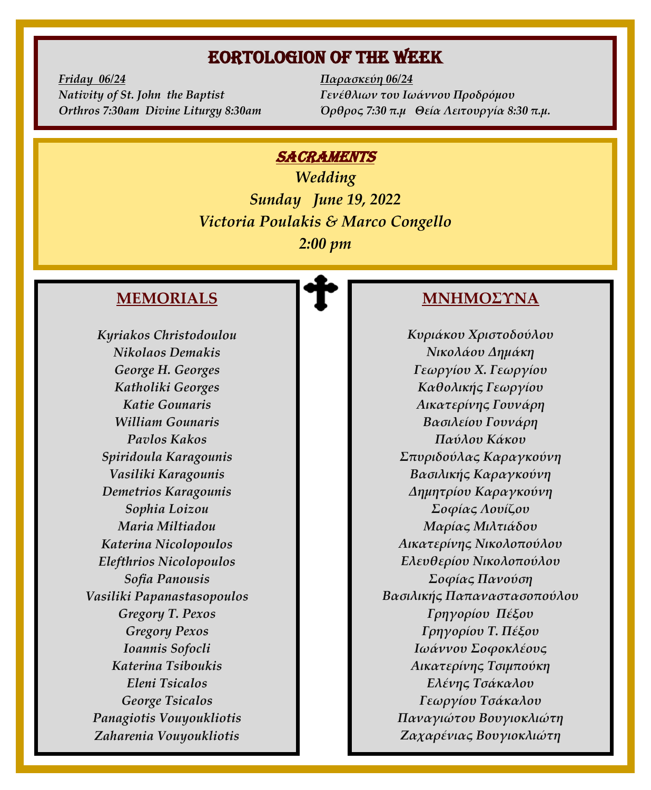### EORTOLOGION of the week

*Friday 06/24 Παρασκεύη 06/24 Nativity of St. John the Baptist Γενέθλιων του Ιωάννου Προδρόμου*

*Orthros 7:30am Divine Liturgy 8:30am Όρθρος 7:30 π.μ Θεία Λειτουργία 8:30 π.μ.* 

### **SACRAMENTS**

*Wedding Sunday June 19, 2022 Victoria Poulakis & Marco Congello 2:00 pm* 

### **MEMORIALS**

*Kyriakos Christodoulou Nikolaos Demakis George H. Georges Katholiki Georges Katie Gounaris William Gounaris Pavlos Kakos Spiridoula Karagounis Vasiliki Karagounis Demetrios Karagounis Sophia Loizou Maria Miltiadou Katerina Nicolopoulos Elefthrios Nicolopoulos Sofia Panousis Vasiliki Papanastasopoulos Gregory T. Pexos Gregory Pexos Ioannis Sofocli Katerina Tsiboukis Eleni Tsicalos George Tsicalos Panagiotis Vouyoukliotis Zaharenia Vouyoukliotis*

### **ΜΝΗΜΟΣΥΝΑ**

*Κυριάκου Χριστοδούλου Νικολάου Δημάκη Γεωργίου Χ. Γεωργίου Καθολικής Γεωργίου Αικατερίνης Γουνάρη Βασιλείου Γουνάρη Παύλου Κάκου Σπυριδούλας Καραγκούνη Βασιλικής Καραγκούνη Δημητρίου Καραγκούνη Σοφίας Λουίζου Μαρίας Μιλτιάδου Αικατερίνης Νικολοπούλου Ελευθερίου Νικολοπούλου Σοφίας Πανούση Βασιλικής Παπαναστασοπούλου Γρηγορίου Πέξου Γρηγορίου Τ. Πέξου Ιωάννου Σοφοκλέους Αικατερίνης Τσιμπούκη Ελένης Τσάκαλου Γεωργίου Τσάκαλου Παναγιώτου Βουγιοκλιώτη Ζαχαρένιας Βουγιοκλιώτη*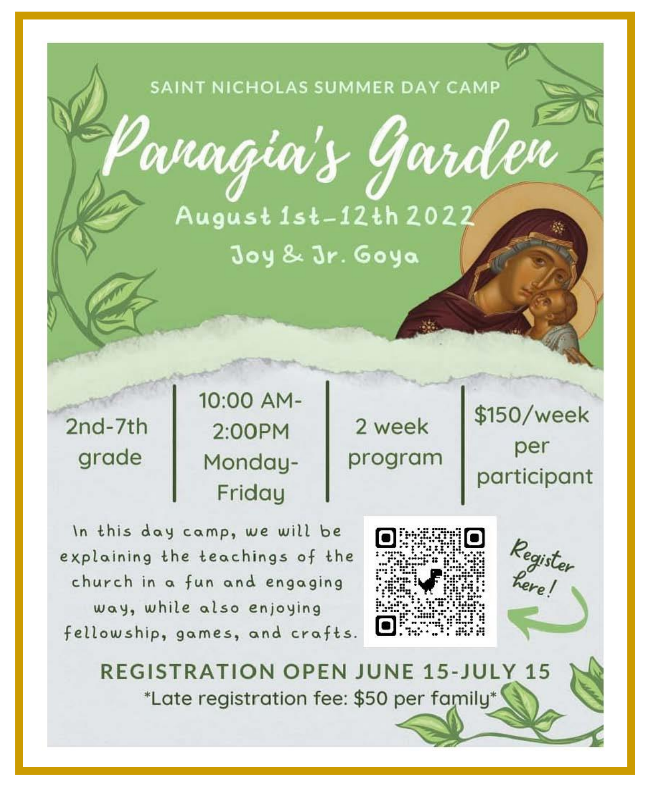### SAINT NICHOLAS SUMMER DAY CAMP



August 1st-12th 2022 Joy & Jr. Goya

## $2nd-7th$ grade

10:00 AM-2:00PM Monday-Friday

2 week program \$150/week per participant

Register<br>Rerel

In this day camp, we will be explaining the teachings of the church in a fun and engaging way, while also enjoying fellowship, games, and crafts.



**REGISTRATION OPEN JUNE 15-JULY 15** \*Late registration fee: \$50 per family\*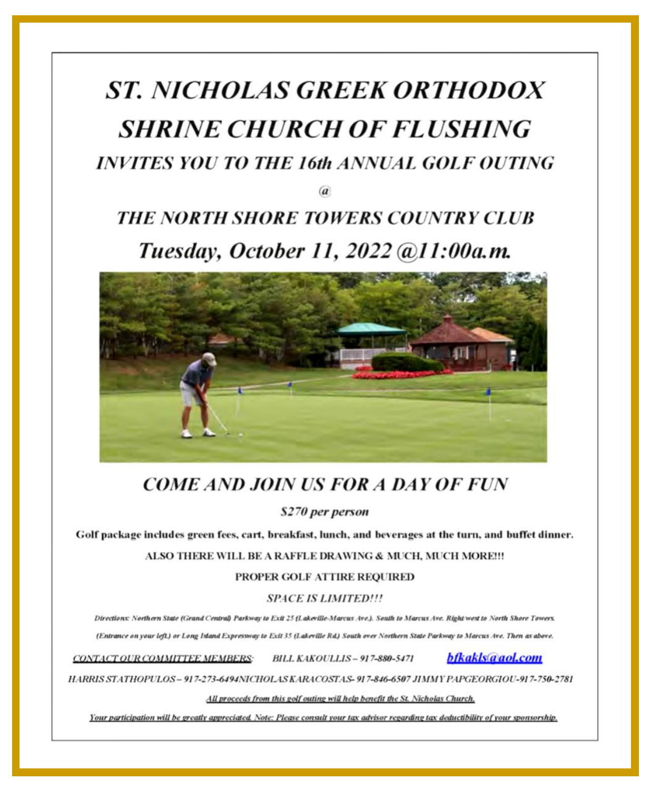# **ST. NICHOLAS GREEK ORTHODOX SHRINE CHURCH OF FLUSHING INVITES YOU TO THE 16th ANNUAL GOLF OUTING**

## THE NORTH SHORE TOWERS COUNTRY CLUB Tuesday, October 11, 2022 @11:00a.m.



### **COME AND JOIN US FOR A DAY OF FUN**

\$270 per person

Golf package includes green fees, cart, breakfast, lunch, and beverages at the turn, and buffet dinner.

ALSO THERE WILL BE A RAFFLE DRAWING & MUCH, MUCH MORE !!!

#### PROPER GOLF ATTIRE REOUIRED

**SPACE IS LIMITED!!!** 

Directions: Northern State (Grand Central) Parkway to Exit 25 (Lakeville-Marcus Ave.). South to Marcus Ave. Right west to North Shore Towers. (Entrance on your left.) or Long Island Expressway to Exit 35 (Lakeville Rd.) South over Northern State Parkway to Marcus Ave. Then as above.

CONTACT OUR COMMITTEE MEMBERS:

BILL KAKOULLIS - 917-880-5471

**bfkakls@aol.com** 

HARRIS STATHOPULOS - 917-273-6494NICHOLAS KARACOSTAS- 917-846-6507 JIMMY PAPGEORGIOU-917-750-2781

All proceeds from this golf outing will help benefit the St. Nicholas Church.

Your participation will be greatly appreciated. Note: Please consult your tax advisor regarding tax deductibility of your sponsorship.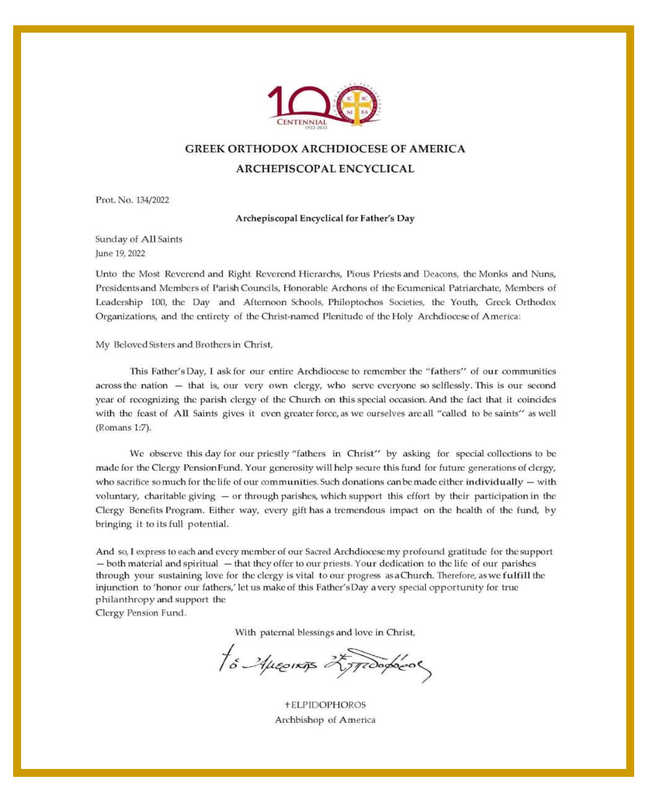

### **GREEK ORTHODOX ARCHDIOCESE OF AMERICA** ARCHEPISCOPAL ENCYCLICAL

Prot. No. 134/2022

#### Archepiscopal Encyclical for Father's Day

Sunday of All Saints June 19, 2022

Unto the Most Reverend and Right Reverend Hierarchs, Pious Priests and Deacons, the Monks and Nuns, Presidents and Members of Parish Councils, Honorable Archons of the Ecumenical Patriarchate, Members of Leadership 100, the Day and Afternoon Schools, Philoptochos Societies, the Youth, Greek Orthodox Organizations, and the entirety of the Christ-named Plenitude of the Holy Archdiocese of America:

My Beloved Sisters and Brothers in Christ,

This Father's Day, I ask for our entire Archdiocese to remember the "fathers" of our communities across the nation - that is, our very own clergy, who serve everyone so selflessly. This is our second year of recognizing the parish clergy of the Church on this special occasion. And the fact that it coincides with the feast of All Saints gives it even greater force, as we ourselves are all "called to be saints" as well (Romans 1:7).

We observe this day for our priestly "fathers in Christ" by asking for special collections to be made for the Clergy Pension Fund. Your generosity will help secure this fund for future generations of clergy, who sacrifice so much for the life of our communities. Such donations can be made either individually  $-$  with voluntary, charitable giving - or through parishes, which support this effort by their participation in the Clergy Benefits Program. Either way, every gift has a tremendous impact on the health of the fund, by bringing it to its full potential.

And so, I express to each and every member of our Sacred Archdiocese my profound gratitude for the support  $-$  both material and spiritual  $-$  that they offer to our priests. Your dedication to the life of our parishes through your sustaining love for the clergy is vital to our progress as a Church. Therefore, as we fulfill the injunction to 'honor our fathers,' let us make of this Father's Day a very special opportunity for true philanthropy and support the

Clergy Pension Fund.

With paternal blessings and love in Christ,

to Aprentis 25 produces

+ELPIDOPHOROS Archbishop of America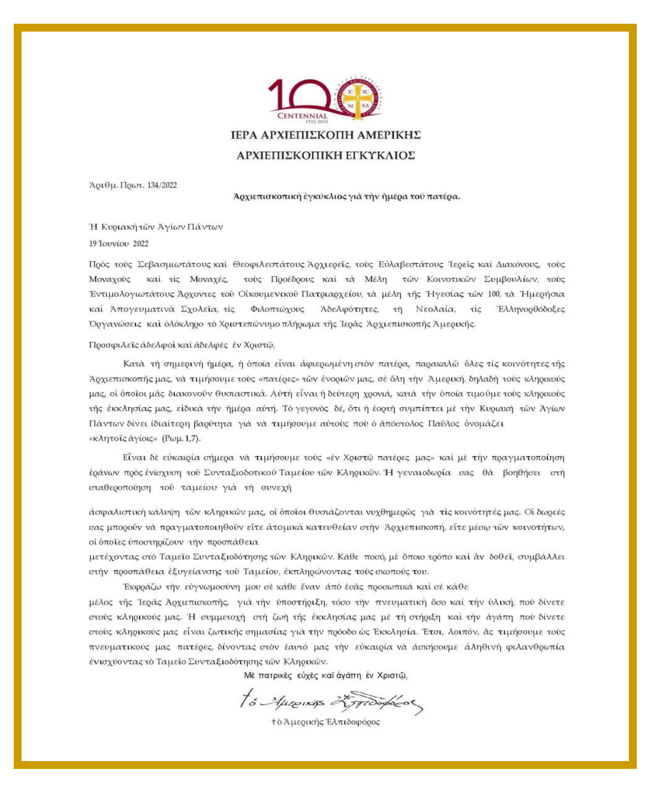

### ΙΕΡΑ ΑΡΧΙΕΠΙΣΚΟΠΗ ΑΜΕΡΙΚΗΣ ΑΡΧΙΕΠΙΣΚΟΠΙΚΗ ΕΓΚΥΚΛΙΟΣ

Άριθμ. Πρωτ. 134/2022

Αρχιεπισκοπική έγκύκλιος για την ήμέρα του πατέρα.

Ή Κυριακή των Άγίων Πάντων 19 Ιουνίου 2022

Πρός τους Σεβασμιωτάτους και Θεοφιλεστάτους Άρχιερεϊς, τους Εὐλαβεστάτους Τερεϊς και Διακόνους, τους Μοναχούς καί τις Μοναχές, τούς Προέδρους και τα Μέλη των Κοινοτικών Συμβουλίων, τούς Έντιμολογιωτάτους Άρχοντες του Οικουμενικού Πατριαρχείου, τα μέλη της Ήγεσίας των 100, τα Ήμερήσια καί Απογευματινά Σχολεΐα, τίς Φιλοπτώχους Άδελφότητες, τή Νεολαία, τίς Έλληνορθόδοξες Όργανώσεις και όλόκληρο το Χριστεπώνυμο πλήρωμα της Ίερας Άρχιεπισκοπής Άμερικής.

Προσφιλεϊς άδελφοί και άδελφές έν Χριστώ,

Κατά τη σημερινή ήμέρα, ή όποία είναι άφιερωμένη στον πατέρα, παρακαλῶ ὅλες τις κοινότητες της Άρχιεπισκοπῆς μας, νὰ τιμήσουμε τοὺς «πατέρες» τῶν ἐνοριῶν μας, σὲ ὅλη τὴν Ἀμερική, δηλαδὴ τοὺς κληρικούς μας, οἱ ὁποῖοι μᾶς διακονοῦν θυσιαστικά. Αὐτὴ εἶναι ἡ δεύτερη χρονιά, κατὰ τὴν ὁποία τιμοῦμε τοὺς κληρικούς τῆς ἐκκλησίας μας, εἰδικὰ τὴν ἡμέρα αὐτή. Τὸ γεγονὸς δέ, ὅτι ἡ ἐορτὴ συμπίπτει μὲ τὴν Κυριακὴ τῶν Ἀγίων Πάντων δίνει ίδιαίτερη βαρύτητα για να τιμήσουμε αύτους που ο απόστολος Παΰλος όνομάζει «κλητοϊς άγίοις» (Ρωμ.1,7).

Είναι δε εύκαιρία σήμερα να τιμήσουμε τούς «έν Χριστώ πατέρες μας» και με την πραγματοποίηση έράνων πρὸς ἐνίσχυση τοῦ Συνταξιοδοτικοῦ Ταμείου τῶν Κληρικῶν. Ἡ γεναιοδωρία σας θὰ βοηθήσει στὴ σταθεροποίηση του ταμείου γιά τη συνεχή

άσφαλιστική κάλυψη τῶν κληρικῶν μας, οἱ ὁποῖοι θυσιάζονται νυχθημερῶς γιὰ τὶς κοινότητές μας. Οἱ δωρεές σας μπορούν να πραγματοποιηθούν είτε ατομικά κατευθείαν στην Άρχιεπισκοπή, είτε μέσω των κοινοτήτων, οί όποιες ύποστηρίζουν την προσπάθεια

μετέχοντας στὸ Ταμεῖο Συνταξιοδότησης τῶν Κληρικῶν. Κάθε ποσό, μὲ ὅποιο τρόπο καὶ ἂν δοθεῖ, συμβάλλει στήν προσπάθεια έξυγείανσης του Ταμείου, έκπληρώνοντας τους σκοπούς του.

Έκφράζω τήν εύγνωμοσύνη μου σε κάθε έναν άπό εσάς προσωπικά και σε κάθε

μέλος τῆς Ἰερᾶς Αρχιεπισκοπῆς, γιὰ τὴν ὑποστήριξη, τόσο τὴν πνευματικὴ ὅσο καὶ τὴν ὑλική, ποὺ δίνετε στούς κληρικούς μας. Ή συμμετοχή στή ζωή τῆς ἐκκλησίας μας μὲ τὴ στήριξη καὶ τὴν ἀγάπη ποὺ δίνετε στούς κληρικούς μας εἶναι ζωτικής σημασίας γιὰ τὴν πρόοδο ὡς Ἐκκλησία. Ἐτσι, λοιπόν, ἂς τιμήσουμε τούς πνευματικούς μας πατέρες, δίνοντας στὸν ἑαυτό μας τὴν εὐκαιρία νὰ ἀσκήσουμε ἀληθινὴ φιλανθρωπία ένισχύοντας το Ταμείο Συνταξιοδότησης των Κληρικών.

Μέ πατρικές εύχές και άγάπη έν Χριστώ,

to Auserias 25 produces

†ό Άμερικής Έλπιδοφόρος